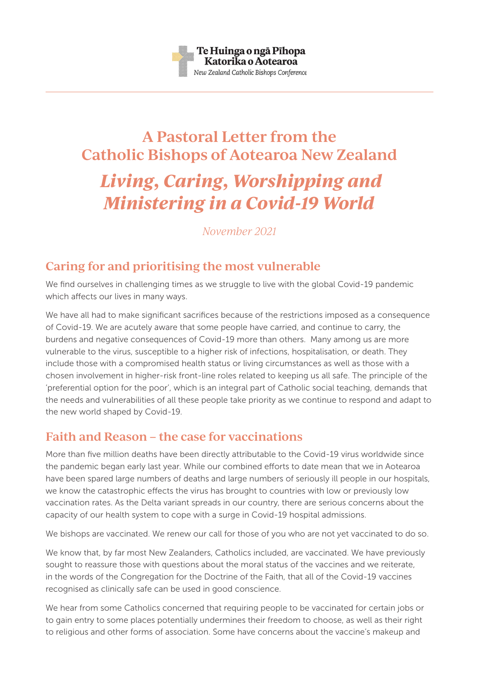

# **A Pastoral Letter from the Catholic Bishops of Aotearoa New Zealand** *Living, Caring, Worshipping and Ministering in a Covid-19 World*

*November 2021*

## **Caring for and prioritising the most vulnerable**

We find ourselves in challenging times as we struggle to live with the global Covid-19 pandemic which affects our lives in many ways.

We have all had to make significant sacrifices because of the restrictions imposed as a consequence of Covid-19. We are acutely aware that some people have carried, and continue to carry, the burdens and negative consequences of Covid-19 more than others. Many among us are more vulnerable to the virus, susceptible to a higher risk of infections, hospitalisation, or death. They include those with a compromised health status or living circumstances as well as those with a chosen involvement in higher-risk front-line roles related to keeping us all safe. The principle of the 'preferential option for the poor', which is an integral part of Catholic social teaching, demands that the needs and vulnerabilities of all these people take priority as we continue to respond and adapt to the new world shaped by Covid-19.

#### **Faith and Reason – the case for vaccinations**

More than five million deaths have been directly attributable to the Covid-19 virus worldwide since the pandemic began early last year. While our combined efforts to date mean that we in Aotearoa have been spared large numbers of deaths and large numbers of seriously ill people in our hospitals, we know the catastrophic effects the virus has brought to countries with low or previously low vaccination rates. As the Delta variant spreads in our country, there are serious concerns about the capacity of our health system to cope with a surge in Covid-19 hospital admissions.

We bishops are vaccinated. We renew our call for those of you who are not yet vaccinated to do so.

We know that, by far most New Zealanders, Catholics included, are vaccinated. We have previously sought to reassure those with questions about the moral status of the vaccines and we reiterate, in the words of the Congregation for the Doctrine of the Faith, that all of the Covid-19 vaccines recognised as clinically safe can be used in good conscience.

We hear from some Catholics concerned that requiring people to be vaccinated for certain jobs or to gain entry to some places potentially undermines their freedom to choose, as well as their right to religious and other forms of association. Some have concerns about the vaccine's makeup and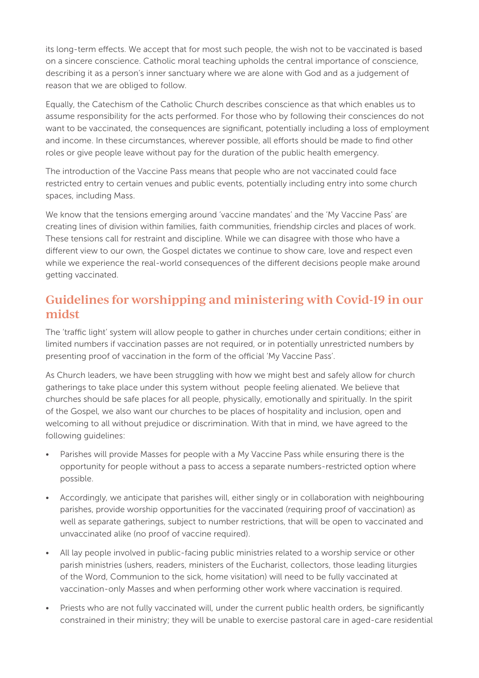its long-term effects. We accept that for most such people, the wish not to be vaccinated is based on a sincere conscience. Catholic moral teaching upholds the central importance of conscience, describing it as a person's inner sanctuary where we are alone with God and as a judgement of reason that we are obliged to follow.

Equally, the Catechism of the Catholic Church describes conscience as that which enables us to assume responsibility for the acts performed. For those who by following their consciences do not want to be vaccinated, the consequences are significant, potentially including a loss of employment and income. In these circumstances, wherever possible, all efforts should be made to find other roles or give people leave without pay for the duration of the public health emergency.

The introduction of the Vaccine Pass means that people who are not vaccinated could face restricted entry to certain venues and public events, potentially including entry into some church spaces, including Mass.

We know that the tensions emerging around 'vaccine mandates' and the 'My Vaccine Pass' are creating lines of division within families, faith communities, friendship circles and places of work. These tensions call for restraint and discipline. While we can disagree with those who have a different view to our own, the Gospel dictates we continue to show care, love and respect even while we experience the real-world consequences of the different decisions people make around getting vaccinated.

### **Guidelines for worshipping and ministering with Covid-19 in our midst**

The 'traffic light' system will allow people to gather in churches under certain conditions; either in limited numbers if vaccination passes are not required, or in potentially unrestricted numbers by presenting proof of vaccination in the form of the official 'My Vaccine Pass'.

As Church leaders, we have been struggling with how we might best and safely allow for church gatherings to take place under this system without people feeling alienated. We believe that churches should be safe places for all people, physically, emotionally and spiritually. In the spirit of the Gospel, we also want our churches to be places of hospitality and inclusion, open and welcoming to all without prejudice or discrimination. With that in mind, we have agreed to the following guidelines:

- Parishes will provide Masses for people with a My Vaccine Pass while ensuring there is the opportunity for people without a pass to access a separate numbers-restricted option where possible.
- Accordingly, we anticipate that parishes will, either singly or in collaboration with neighbouring parishes, provide worship opportunities for the vaccinated (requiring proof of vaccination) as well as separate gatherings, subject to number restrictions, that will be open to vaccinated and unvaccinated alike (no proof of vaccine required).
- All lay people involved in public-facing public ministries related to a worship service or other parish ministries (ushers, readers, ministers of the Eucharist, collectors, those leading liturgies of the Word, Communion to the sick, home visitation) will need to be fully vaccinated at vaccination-only Masses and when performing other work where vaccination is required.
- Priests who are not fully vaccinated will, under the current public health orders, be significantly constrained in their ministry; they will be unable to exercise pastoral care in aged-care residential